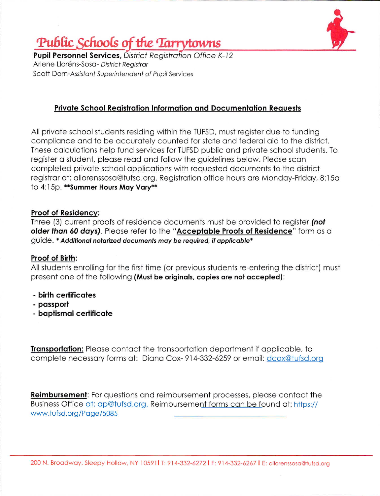

# Public Schools of the Tarrytowns

**Pupil Personnel Services, District Registration Office K-12** Arlene Lloréns-Sosa- District Registrar Scott Dorn-Assistant Superintendent of Pupil Services

## **Private School Registration Information and Documentation Requests**

All private school students residing within the TUFSD, must register due to funding compliance and to be accurately counted for state and federal aid to the district. These calculations help fund services for TUFSD public and private school students. To register a student, please read and follow the guidelines below. Please scan completed private school applications with requested documents to the district registrar at: allorenssosa@tufsd.org. Registration office hours are Monday-Friday, 8:15a to 4:15p. \*\* Summer Hours May Vary\*\*

### **Proof of Residency:**

Three (3) current proofs of residence documents must be provided to register (not older than 60 days). Please refer to the "Acceptable Proofs of Residence" form as a guide. \* Additional notarized documents may be required, if applicable\*

### **Proof of Birth:**

All students enrolling for the first time (or previous students re-entering the district) must present one of the following (Must be originals, copies are not accepted):

- birth certificates
- passport
- baptismal certificate

**Transportation:** Please contact the transportation department if applicable, to complete necessary forms at: Diana Cox-914-332-6259 or email: dcox@tufsd.org

**Reimbursement:** For questions and reimbursement processes, please contact the Business Office at: ap@tufsd.org. Reimbursement forms can be found at: https:// www.tufsd.org/Page/5085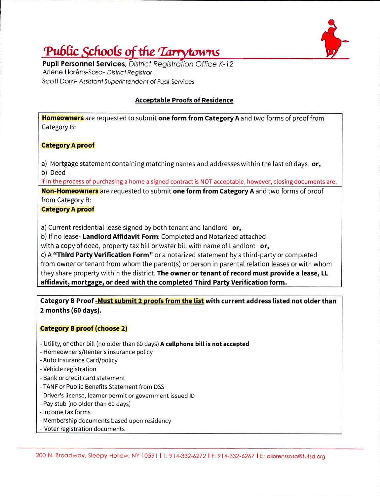

# Public Schools of the *Tarrytowns*

**Pupil Personnel Services, District Registration Office K-12** Arlene Lloréns-Sosa- District Registrar Scott Dorn-Assistant Superintendent of Pupil Services

### **Acceptable Proofs of Residence**

Homeowners are requested to submit one form from Category A and two forms of proof from Category B:

#### **Category A proof**

a) Mortgage statement containing matching names and addresses within the last 60 days or, b) Deed

If in the process of purchasing a home a signed contract is NOT acceptable, however, closing documents are.

Non-Homeowners are requested to submit one form from Category A and two forms of proof from Category B:

### **Category A proof**

a) Current residential lease signed by both tenant and landlord or,

b) If no lease- Landlord Affidavit Form: Completed and Notarized attached

with a copy of deed, property tax bill or water bill with name of Landlord or,

c) A "Third Party Verification Form" or a notarized statement by a third-party or completed from owner or tenant from whom the parent(s) or person in parental relation leases or with whom they share property within the district. The owner or tenant of record must provide a lease, LL affidavit, mortgage, or deed with the completed Third Party Verification form.

Category B Proof -Must submit 2 proofs from the list with current address listed not older than 2 months (60 days).

### **Category B proof (choose 2)**

- Utility, or other bill (no older than 60 days) A cellphone bill is not accepted
- Homeowner's/Renter's insurance policy
- Auto Insurance Card/policy
- Vehicle registration
- Bank or credit card statement
- TANF or Public Benefits Statement from DSS
- Driver's license, learner permit or government issued ID
- Pay stub (no older than 60 days)
- Income tax forms
- Membership documents based upon residency
- Voter registration documents

200 N. Broadway, Sleepy Hollow, NY 10591 | T: 914-332-6272 | F: 914-332-6267 | E: allorenssosa@tufsd.org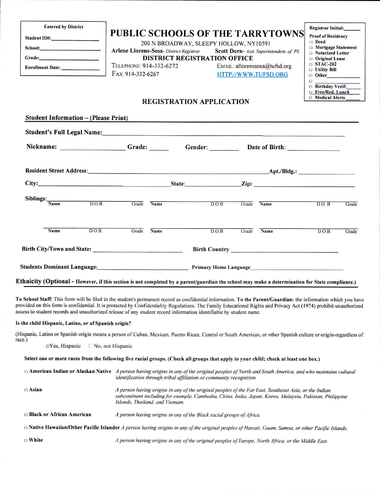| <b>Entered by District</b><br>Student ID#: North Student ID#: | TELEPHONE: 914-332-6272<br>FAX: 914-332-6267                                                                                                                                                                                                                                                                                                                                                                                                              | <b>PUBLIC SCHOOLS OF THE TARRYTOWNS</b><br>200 N BROADWAY, SLEEPY HOLLOW, NY10591<br>Arlene Llorens-Sosa- District Registrar Scott Dorn- Asst. Superintendent. of PS<br><b>DISTRICT REGISTRATION OFFICE</b><br><b>REGISTRATION APPLICATION</b> | $E$ MAIL: allorenssosa@tufsd.org<br>HTTP://WWW.TUFSD.ORG |                   |      | Registrar Initial:______<br><b>Proof of Residency</b><br>Deed<br>$\Box$ Mortgage Statement<br><b>D</b> Notarized Letter<br><b>Original Lease</b><br>$\Box$ STAC-202<br>$\Box$ Utility Bill<br>$\Box$ Other<br>$\Box$<br><b>Birthday Verif:</b><br>□ Free/Red. Lunch<br>$\Box$ Medical Alerts |       |
|---------------------------------------------------------------|-----------------------------------------------------------------------------------------------------------------------------------------------------------------------------------------------------------------------------------------------------------------------------------------------------------------------------------------------------------------------------------------------------------------------------------------------------------|------------------------------------------------------------------------------------------------------------------------------------------------------------------------------------------------------------------------------------------------|----------------------------------------------------------|-------------------|------|----------------------------------------------------------------------------------------------------------------------------------------------------------------------------------------------------------------------------------------------------------------------------------------------|-------|
| <b>Student Information - (Please Print)</b>                   |                                                                                                                                                                                                                                                                                                                                                                                                                                                           | <u> 2002 - Johann Stone, Amerikaansk politiker (* 1892)</u>                                                                                                                                                                                    |                                                          |                   |      |                                                                                                                                                                                                                                                                                              |       |
|                                                               | Student's Full Legal Name:<br><u>Student's Full Legal Name:</u><br>Nickname: _________________Grade: ________Gender: ________Date of Birth:                                                                                                                                                                                                                                                                                                               |                                                                                                                                                                                                                                                |                                                          |                   |      |                                                                                                                                                                                                                                                                                              |       |
|                                                               |                                                                                                                                                                                                                                                                                                                                                                                                                                                           |                                                                                                                                                                                                                                                |                                                          |                   |      |                                                                                                                                                                                                                                                                                              |       |
|                                                               |                                                                                                                                                                                                                                                                                                                                                                                                                                                           |                                                                                                                                                                                                                                                |                                                          |                   |      |                                                                                                                                                                                                                                                                                              |       |
|                                                               |                                                                                                                                                                                                                                                                                                                                                                                                                                                           |                                                                                                                                                                                                                                                |                                                          |                   |      |                                                                                                                                                                                                                                                                                              |       |
| Siblings:                                                     | Name D.O.B. Grade Name                                                                                                                                                                                                                                                                                                                                                                                                                                    |                                                                                                                                                                                                                                                |                                                          | D.O.B. Grade Name |      | D.O.B                                                                                                                                                                                                                                                                                        | Grade |
| Name                                                          | D.O.B.<br>Grade                                                                                                                                                                                                                                                                                                                                                                                                                                           | Name                                                                                                                                                                                                                                           | D.O.B.                                                   | Grade             | Name | D.O.B.                                                                                                                                                                                                                                                                                       | Grade |
|                                                               |                                                                                                                                                                                                                                                                                                                                                                                                                                                           |                                                                                                                                                                                                                                                |                                                          |                   |      |                                                                                                                                                                                                                                                                                              |       |
|                                                               | Students Dominant Language: 1998 1999 Primary Home Language                                                                                                                                                                                                                                                                                                                                                                                               |                                                                                                                                                                                                                                                |                                                          |                   |      |                                                                                                                                                                                                                                                                                              |       |
|                                                               | Ethnicity (Optional - However, if this section is not completed by a parent/guardian the school may make a determination for State compliance.)                                                                                                                                                                                                                                                                                                           |                                                                                                                                                                                                                                                |                                                          |                   |      |                                                                                                                                                                                                                                                                                              |       |
|                                                               | To School Staff: This form will be filed in the student's permanent record as confidential information. To the Parent/Guardian: the information which you have<br>provided on this form is confidential. It is protected by Confidentiality Regulations. The Family Educational Rights and Privacy Act (1974) prohibit unauthorized<br>access to student records and unauthorized release of any student record information identifiable by student name. |                                                                                                                                                                                                                                                |                                                          |                   |      |                                                                                                                                                                                                                                                                                              |       |
| Is the child Hispanic, Latino, or of Spanish origin?          |                                                                                                                                                                                                                                                                                                                                                                                                                                                           |                                                                                                                                                                                                                                                |                                                          |                   |      |                                                                                                                                                                                                                                                                                              |       |
| race.)<br>□Yes, Hispanic                                      | (Hispanic, Latino or Spanish origin means a person of Cuban, Mexican, Puerto Rican, Central or South American, or other Spanish culture or origin-regardless of<br>$\Box$ No, not Hispanic                                                                                                                                                                                                                                                                |                                                                                                                                                                                                                                                |                                                          |                   |      |                                                                                                                                                                                                                                                                                              |       |

Select one or more races from the following five racial groups. (Check all groups that apply to your child; check at least one box.)

| $\Box$ American Indian or Alaskan Native | A person having origins in any of the original peoples of North and South America, and who maintains cultural<br>identification through tribal affiliation or community recognition.                                                                 |
|------------------------------------------|------------------------------------------------------------------------------------------------------------------------------------------------------------------------------------------------------------------------------------------------------|
| $\Box$ Asian                             | A person having origins in any of the original peoples of the Far East, Southeast Asia, or the Indian<br>subcontinent including for example, Cambodia, China, India, Japan, Korea, Malaysia, Pakistan, Philippine<br>Islands, Thailand, and Vietnam. |
| $\Box$ Black or African American         | A person having origins in any of the Black racial groups of Africa.                                                                                                                                                                                 |
|                                          | $\Box$ Native Hawaiian/Other Pacific Islander A person having origins in any of the original peoples of Hawaii, Guam, Samoa, or other Pacific Islands.                                                                                               |
| $\Box$ White                             | A person having origins in any of the original peoples of Europe, North Africa, or the Middle East.                                                                                                                                                  |